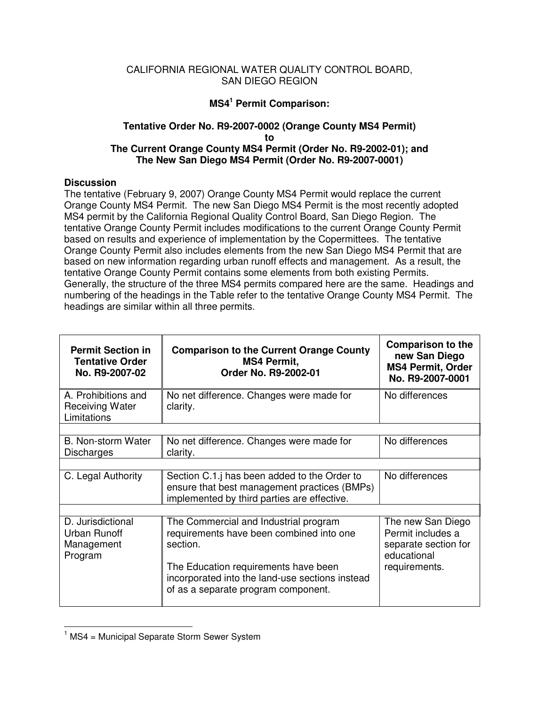## CALIFORNIA REGIONAL WATER QUALITY CONTROL BOARD, SAN DIEGO REGION

## **MS4 <sup>1</sup> Permit Comparison:**

## **Tentative Order No. R9-2007-0002 (Orange County MS4 Permit) to The Current Orange County MS4 Permit (Order No. R9-2002-01); and The New San Diego MS4 Permit (Order No. R9-2007-0001)**

## **Discussion**

The tentative (February 9, 2007) Orange County MS4 Permit would replace the current Orange County MS4 Permit. The new San Diego MS4 Permit is the most recently adopted MS4 permit by the California Regional Quality Control Board, San Diego Region. The tentative Orange County Permit includes modifications to the current Orange County Permit based on results and experience of implementation by the Copermittees. The tentative Orange County Permit also includes elements from the new San Diego MS4 Permit that are based on new information regarding urban runoff effects and management. As a result, the tentative Orange County Permit contains some elements from both existing Permits. Generally, the structure of the three MS4 permits compared here are the same. Headings and numbering of the headings in the Table refer to the tentative Orange County MS4 Permit. The headings are similar within all three permits.

| <b>Permit Section in</b><br><b>Tentative Order</b><br>No. R9-2007-02 | <b>Comparison to the Current Orange County</b><br><b>MS4 Permit,</b><br>Order No. R9-2002-01                                                                                                                                    | <b>Comparison to the</b><br>new San Diego<br><b>MS4 Permit, Order</b><br>No. R9-2007-0001      |
|----------------------------------------------------------------------|---------------------------------------------------------------------------------------------------------------------------------------------------------------------------------------------------------------------------------|------------------------------------------------------------------------------------------------|
| A. Prohibitions and<br><b>Receiving Water</b><br>Limitations         | No net difference. Changes were made for<br>clarity.                                                                                                                                                                            | No differences                                                                                 |
|                                                                      |                                                                                                                                                                                                                                 |                                                                                                |
| B. Non-storm Water<br><b>Discharges</b>                              | No net difference. Changes were made for<br>clarity.                                                                                                                                                                            | No differences                                                                                 |
|                                                                      |                                                                                                                                                                                                                                 |                                                                                                |
| C. Legal Authority                                                   | Section C.1. has been added to the Order to<br>ensure that best management practices (BMPs)<br>implemented by third parties are effective.                                                                                      | No differences                                                                                 |
|                                                                      |                                                                                                                                                                                                                                 |                                                                                                |
| D. Jurisdictional<br>Urban Runoff<br>Management<br>Program           | The Commercial and Industrial program<br>requirements have been combined into one<br>section.<br>The Education requirements have been<br>incorporated into the land-use sections instead<br>of as a separate program component. | The new San Diego<br>Permit includes a<br>separate section for<br>educational<br>requirements. |

 $1$  MS4 = Municipal Separate Storm Sewer System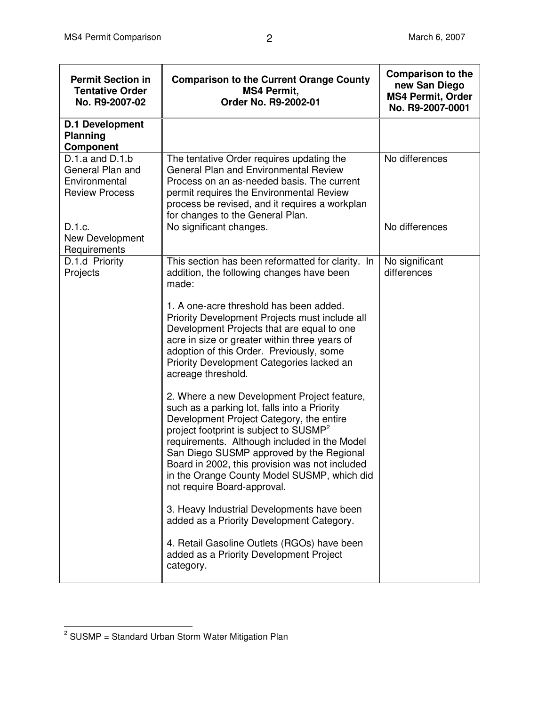| <b>Permit Section in</b><br><b>Tentative Order</b><br>No. R9-2007-02              | <b>Comparison to the Current Orange County</b><br><b>MS4 Permit.</b><br>Order No. R9-2002-01                                                                                                                                                                                                                                                                                                                                                                                                                                                                                                                                                                                                                                                                                                                                                    | <b>Comparison to the</b><br>new San Diego<br><b>MS4 Permit, Order</b><br>No. R9-2007-0001 |
|-----------------------------------------------------------------------------------|-------------------------------------------------------------------------------------------------------------------------------------------------------------------------------------------------------------------------------------------------------------------------------------------------------------------------------------------------------------------------------------------------------------------------------------------------------------------------------------------------------------------------------------------------------------------------------------------------------------------------------------------------------------------------------------------------------------------------------------------------------------------------------------------------------------------------------------------------|-------------------------------------------------------------------------------------------|
| <b>D.1 Development</b><br><b>Planning</b><br><b>Component</b>                     |                                                                                                                                                                                                                                                                                                                                                                                                                                                                                                                                                                                                                                                                                                                                                                                                                                                 |                                                                                           |
| $D.1.a$ and $D.1.b$<br>General Plan and<br>Environmental<br><b>Review Process</b> | The tentative Order requires updating the<br><b>General Plan and Environmental Review</b><br>Process on an as-needed basis. The current<br>permit requires the Environmental Review<br>process be revised, and it requires a workplan<br>for changes to the General Plan.                                                                                                                                                                                                                                                                                                                                                                                                                                                                                                                                                                       | No differences                                                                            |
| D.1.c.<br>New Development<br>Requirements                                         | No significant changes.                                                                                                                                                                                                                                                                                                                                                                                                                                                                                                                                                                                                                                                                                                                                                                                                                         | No differences                                                                            |
| D.1.d Priority<br>Projects                                                        | This section has been reformatted for clarity. In<br>addition, the following changes have been<br>made:<br>1. A one-acre threshold has been added.<br>Priority Development Projects must include all<br>Development Projects that are equal to one<br>acre in size or greater within three years of<br>adoption of this Order. Previously, some<br>Priority Development Categories lacked an<br>acreage threshold.<br>2. Where a new Development Project feature,<br>such as a parking lot, falls into a Priority<br>Development Project Category, the entire<br>project footprint is subject to SUSMP <sup>2</sup><br>requirements. Although included in the Model<br>San Diego SUSMP approved by the Regional<br>Board in 2002, this provision was not included<br>in the Orange County Model SUSMP, which did<br>not require Board-approval. | No significant<br>differences                                                             |
|                                                                                   | 3. Heavy Industrial Developments have been<br>added as a Priority Development Category.                                                                                                                                                                                                                                                                                                                                                                                                                                                                                                                                                                                                                                                                                                                                                         |                                                                                           |
|                                                                                   | 4. Retail Gasoline Outlets (RGOs) have been<br>added as a Priority Development Project<br>category.                                                                                                                                                                                                                                                                                                                                                                                                                                                                                                                                                                                                                                                                                                                                             |                                                                                           |

 $2$  SUSMP = Standard Urban Storm Water Mitigation Plan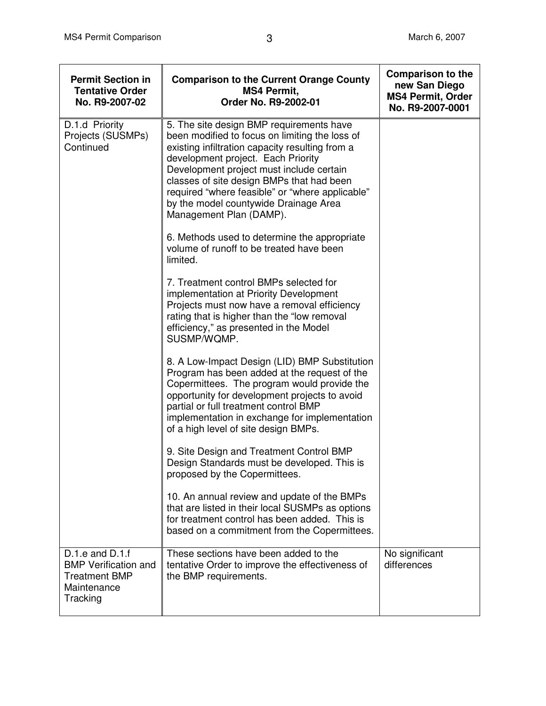| <b>Permit Section in</b><br><b>Tentative Order</b><br>No. R9-2007-02                                  | <b>Comparison to the Current Orange County</b><br><b>MS4 Permit,</b><br>Order No. R9-2002-01                                                                                                                                                                                                                                                                                                        | <b>Comparison to the</b><br>new San Diego<br><b>MS4 Permit, Order</b><br>No. R9-2007-0001 |
|-------------------------------------------------------------------------------------------------------|-----------------------------------------------------------------------------------------------------------------------------------------------------------------------------------------------------------------------------------------------------------------------------------------------------------------------------------------------------------------------------------------------------|-------------------------------------------------------------------------------------------|
| D.1.d Priority<br>Projects (SUSMPs)<br>Continued                                                      | 5. The site design BMP requirements have<br>been modified to focus on limiting the loss of<br>existing infiltration capacity resulting from a<br>development project. Each Priority<br>Development project must include certain<br>classes of site design BMPs that had been<br>required "where feasible" or "where applicable"<br>by the model countywide Drainage Area<br>Management Plan (DAMP). |                                                                                           |
|                                                                                                       | 6. Methods used to determine the appropriate<br>volume of runoff to be treated have been<br>limited.                                                                                                                                                                                                                                                                                                |                                                                                           |
|                                                                                                       | 7. Treatment control BMPs selected for<br>implementation at Priority Development<br>Projects must now have a removal efficiency<br>rating that is higher than the "low removal<br>efficiency," as presented in the Model<br>SUSMP/WQMP.                                                                                                                                                             |                                                                                           |
|                                                                                                       | 8. A Low-Impact Design (LID) BMP Substitution<br>Program has been added at the request of the<br>Copermittees. The program would provide the<br>opportunity for development projects to avoid<br>partial or full treatment control BMP<br>implementation in exchange for implementation<br>of a high level of site design BMPs.                                                                     |                                                                                           |
|                                                                                                       | 9. Site Design and Treatment Control BMP<br>Design Standards must be developed. This is<br>proposed by the Copermittees.                                                                                                                                                                                                                                                                            |                                                                                           |
|                                                                                                       | 10. An annual review and update of the BMPs<br>that are listed in their local SUSMPs as options<br>for treatment control has been added. This is<br>based on a commitment from the Copermittees.                                                                                                                                                                                                    |                                                                                           |
| $D.1.e$ and $D.1.f$<br><b>BMP Verification and</b><br><b>Treatment BMP</b><br>Maintenance<br>Tracking | These sections have been added to the<br>tentative Order to improve the effectiveness of<br>the BMP requirements.                                                                                                                                                                                                                                                                                   | No significant<br>differences                                                             |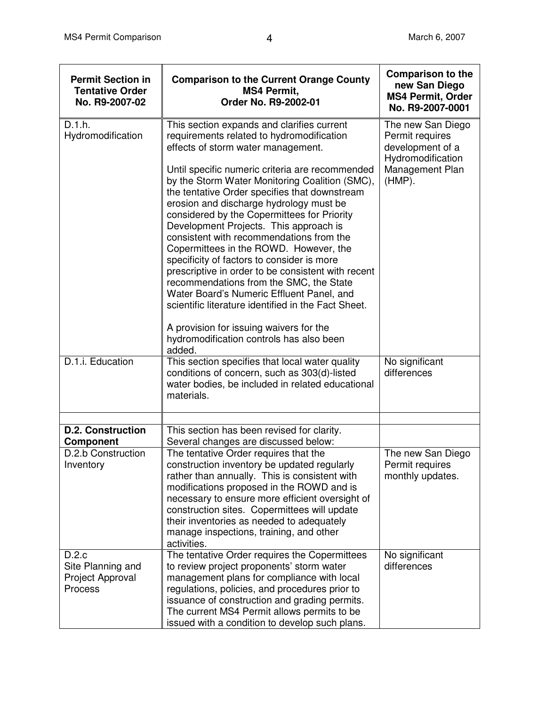| <b>Permit Section in</b><br><b>Tentative Order</b><br>No. R9-2007-02 | <b>Comparison to the Current Orange County</b><br><b>MS4 Permit,</b><br>Order No. R9-2002-01                                                                                                                                                                                                                                                                                                                                                                                                                                                                                                                                                                                                                                     | <b>Comparison to the</b><br>new San Diego<br><b>MS4 Permit, Order</b><br>No. R9-2007-0001 |
|----------------------------------------------------------------------|----------------------------------------------------------------------------------------------------------------------------------------------------------------------------------------------------------------------------------------------------------------------------------------------------------------------------------------------------------------------------------------------------------------------------------------------------------------------------------------------------------------------------------------------------------------------------------------------------------------------------------------------------------------------------------------------------------------------------------|-------------------------------------------------------------------------------------------|
| D.1.h.<br>Hydromodification                                          | This section expands and clarifies current<br>requirements related to hydromodification<br>effects of storm water management.                                                                                                                                                                                                                                                                                                                                                                                                                                                                                                                                                                                                    | The new San Diego<br>Permit requires<br>development of a<br>Hydromodification             |
|                                                                      | Until specific numeric criteria are recommended<br>by the Storm Water Monitoring Coalition (SMC),<br>the tentative Order specifies that downstream<br>erosion and discharge hydrology must be<br>considered by the Copermittees for Priority<br>Development Projects. This approach is<br>consistent with recommendations from the<br>Copermittees in the ROWD. However, the<br>specificity of factors to consider is more<br>prescriptive in order to be consistent with recent<br>recommendations from the SMC, the State<br>Water Board's Numeric Effluent Panel, and<br>scientific literature identified in the Fact Sheet.<br>A provision for issuing waivers for the<br>hydromodification controls has also been<br>added. | Management Plan<br>$(HMP)$ .                                                              |
| D.1.i. Education                                                     | This section specifies that local water quality<br>conditions of concern, such as 303(d)-listed<br>water bodies, be included in related educational<br>materials.                                                                                                                                                                                                                                                                                                                                                                                                                                                                                                                                                                | No significant<br>differences                                                             |
|                                                                      |                                                                                                                                                                                                                                                                                                                                                                                                                                                                                                                                                                                                                                                                                                                                  |                                                                                           |
| <b>D.2. Construction</b><br>Component                                | This section has been revised for clarity.<br>Several changes are discussed below:                                                                                                                                                                                                                                                                                                                                                                                                                                                                                                                                                                                                                                               |                                                                                           |
| D.2.b Construction<br>Inventory                                      | The tentative Order requires that the<br>construction inventory be updated regularly<br>rather than annually. This is consistent with<br>modifications proposed in the ROWD and is<br>necessary to ensure more efficient oversight of<br>construction sites. Copermittees will update<br>their inventories as needed to adequately<br>manage inspections, training, and other<br>activities.                                                                                                                                                                                                                                                                                                                                     | The new San Diego<br>Permit requires<br>monthly updates.                                  |
| D.2.c<br>Site Planning and<br>Project Approval<br>Process            | The tentative Order requires the Copermittees<br>to review project proponents' storm water<br>management plans for compliance with local<br>regulations, policies, and procedures prior to<br>issuance of construction and grading permits.<br>The current MS4 Permit allows permits to be<br>issued with a condition to develop such plans.                                                                                                                                                                                                                                                                                                                                                                                     | No significant<br>differences                                                             |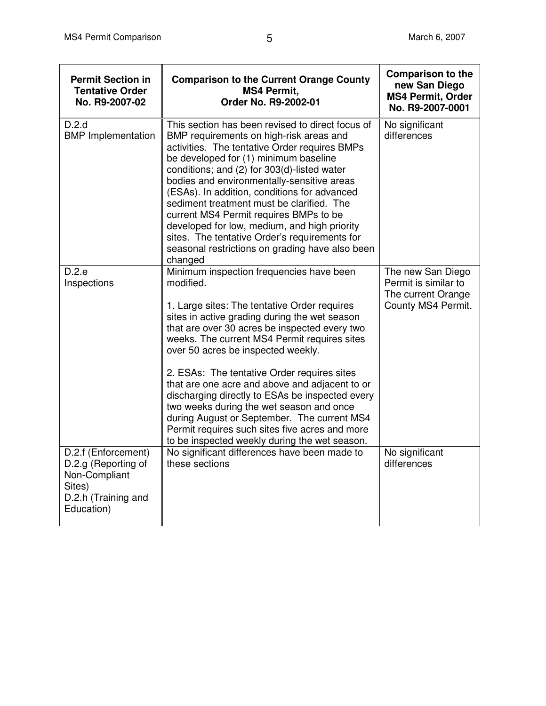| <b>Permit Section in</b><br><b>Tentative Order</b><br>No. R9-2007-02                                       | <b>Comparison to the Current Orange County</b><br><b>MS4 Permit,</b><br>Order No. R9-2002-01                                                                                                                                                                                                                                                                                                                                                                                                                                                                                                                                                    | <b>Comparison to the</b><br>new San Diego<br><b>MS4 Permit, Order</b><br>No. R9-2007-0001 |
|------------------------------------------------------------------------------------------------------------|-------------------------------------------------------------------------------------------------------------------------------------------------------------------------------------------------------------------------------------------------------------------------------------------------------------------------------------------------------------------------------------------------------------------------------------------------------------------------------------------------------------------------------------------------------------------------------------------------------------------------------------------------|-------------------------------------------------------------------------------------------|
| D.2.d<br><b>BMP</b> Implementation                                                                         | This section has been revised to direct focus of<br>BMP requirements on high-risk areas and<br>activities. The tentative Order requires BMPs<br>be developed for (1) minimum baseline<br>conditions; and (2) for 303(d)-listed water<br>bodies and environmentally-sensitive areas<br>(ESAs). In addition, conditions for advanced<br>sediment treatment must be clarified. The<br>current MS4 Permit requires BMPs to be<br>developed for low, medium, and high priority<br>sites. The tentative Order's requirements for<br>seasonal restrictions on grading have also been<br>changed                                                        | No significant<br>differences                                                             |
| D.2.e<br>Inspections                                                                                       | Minimum inspection frequencies have been<br>modified.<br>1. Large sites: The tentative Order requires<br>sites in active grading during the wet season<br>that are over 30 acres be inspected every two<br>weeks. The current MS4 Permit requires sites<br>over 50 acres be inspected weekly.<br>2. ESAs: The tentative Order requires sites<br>that are one acre and above and adjacent to or<br>discharging directly to ESAs be inspected every<br>two weeks during the wet season and once<br>during August or September. The current MS4<br>Permit requires such sites five acres and more<br>to be inspected weekly during the wet season. | The new San Diego<br>Permit is similar to<br>The current Orange<br>County MS4 Permit.     |
| D.2.f (Enforcement)<br>D.2.g (Reporting of<br>Non-Compliant<br>Sites)<br>D.2.h (Training and<br>Education) | No significant differences have been made to<br>these sections                                                                                                                                                                                                                                                                                                                                                                                                                                                                                                                                                                                  | No significant<br>differences                                                             |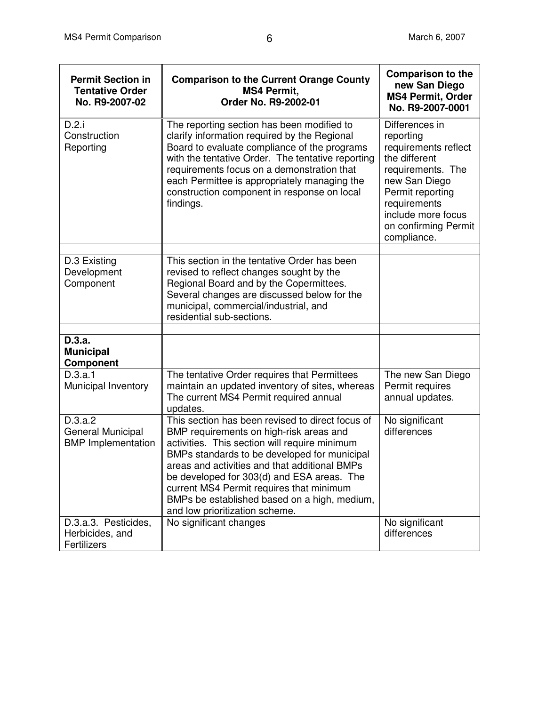| <b>Permit Section in</b><br><b>Tentative Order</b><br>No. R9-2007-02 | <b>Comparison to the Current Orange County</b><br><b>MS4 Permit,</b><br>Order No. R9-2002-01                                                                                                                                                                                                                                                                                                                              | <b>Comparison to the</b><br>new San Diego<br><b>MS4 Permit, Order</b><br>No. R9-2007-0001                                                                                                                   |
|----------------------------------------------------------------------|---------------------------------------------------------------------------------------------------------------------------------------------------------------------------------------------------------------------------------------------------------------------------------------------------------------------------------------------------------------------------------------------------------------------------|-------------------------------------------------------------------------------------------------------------------------------------------------------------------------------------------------------------|
| D.2.i<br>Construction<br>Reporting                                   | The reporting section has been modified to<br>clarify information required by the Regional<br>Board to evaluate compliance of the programs<br>with the tentative Order. The tentative reporting<br>requirements focus on a demonstration that<br>each Permittee is appropriately managing the<br>construction component in response on local<br>findings.                                                                 | Differences in<br>reporting<br>requirements reflect<br>the different<br>requirements. The<br>new San Diego<br>Permit reporting<br>requirements<br>include more focus<br>on confirming Permit<br>compliance. |
|                                                                      |                                                                                                                                                                                                                                                                                                                                                                                                                           |                                                                                                                                                                                                             |
| D.3 Existing<br>Development<br>Component                             | This section in the tentative Order has been<br>revised to reflect changes sought by the<br>Regional Board and by the Copermittees.<br>Several changes are discussed below for the<br>municipal, commercial/industrial, and<br>residential sub-sections.                                                                                                                                                                  |                                                                                                                                                                                                             |
| D.3.a.                                                               |                                                                                                                                                                                                                                                                                                                                                                                                                           |                                                                                                                                                                                                             |
| <b>Municipal</b><br>Component                                        |                                                                                                                                                                                                                                                                                                                                                                                                                           |                                                                                                                                                                                                             |
| D.3.a.1<br>Municipal Inventory                                       | The tentative Order requires that Permittees<br>maintain an updated inventory of sites, whereas<br>The current MS4 Permit required annual<br>updates.                                                                                                                                                                                                                                                                     | The new San Diego<br>Permit requires<br>annual updates.                                                                                                                                                     |
| D.3.a.2<br>General Municipal<br><b>BMP</b> Implementation            | This section has been revised to direct focus of<br>BMP requirements on high-risk areas and<br>activities. This section will require minimum<br>BMPs standards to be developed for municipal<br>areas and activities and that additional BMPs<br>be developed for 303(d) and ESA areas. The<br>current MS4 Permit requires that minimum<br>BMPs be established based on a high, medium,<br>and low prioritization scheme. | No significant<br>differences                                                                                                                                                                               |
| D.3.a.3. Pesticides,<br>Herbicides, and<br>Fertilizers               | No significant changes                                                                                                                                                                                                                                                                                                                                                                                                    | No significant<br>differences                                                                                                                                                                               |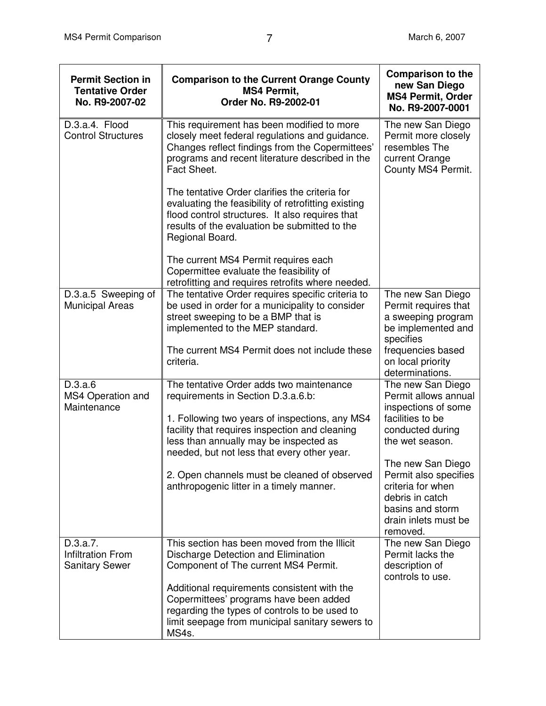| <b>Permit Section in</b><br><b>Tentative Order</b><br>No. R9-2007-02 | <b>Comparison to the Current Orange County</b><br><b>MS4 Permit,</b><br>Order No. R9-2002-01                                                                                                                                 | <b>Comparison to the</b><br>new San Diego<br><b>MS4 Permit, Order</b><br>No. R9-2007-0001                                                  |
|----------------------------------------------------------------------|------------------------------------------------------------------------------------------------------------------------------------------------------------------------------------------------------------------------------|--------------------------------------------------------------------------------------------------------------------------------------------|
| D.3.a.4. Flood<br><b>Control Structures</b>                          | This requirement has been modified to more<br>closely meet federal regulations and guidance.<br>Changes reflect findings from the Copermittees'<br>programs and recent literature described in the<br>Fact Sheet.            | The new San Diego<br>Permit more closely<br>resembles The<br>current Orange<br>County MS4 Permit.                                          |
|                                                                      | The tentative Order clarifies the criteria for<br>evaluating the feasibility of retrofitting existing<br>flood control structures. It also requires that<br>results of the evaluation be submitted to the<br>Regional Board. |                                                                                                                                            |
|                                                                      | The current MS4 Permit requires each<br>Copermittee evaluate the feasibility of<br>retrofitting and requires retrofits where needed.                                                                                         |                                                                                                                                            |
| D.3.a.5 Sweeping of<br><b>Municipal Areas</b>                        | The tentative Order requires specific criteria to<br>be used in order for a municipality to consider<br>street sweeping to be a BMP that is<br>implemented to the MEP standard.                                              | The new San Diego<br>Permit requires that<br>a sweeping program<br>be implemented and<br>specifies                                         |
|                                                                      | The current MS4 Permit does not include these<br>criteria.                                                                                                                                                                   | frequencies based<br>on local priority<br>determinations.                                                                                  |
| D.3.a.6<br>MS4 Operation and<br>Maintenance                          | The tentative Order adds two maintenance<br>requirements in Section D.3.a.6.b:                                                                                                                                               | The new San Diego<br>Permit allows annual<br>inspections of some                                                                           |
|                                                                      | 1. Following two years of inspections, any MS4<br>facility that requires inspection and cleaning<br>less than annually may be inspected as<br>needed, but not less that every other year.                                    | facilities to be<br>conducted during<br>the wet season.                                                                                    |
|                                                                      | 2. Open channels must be cleaned of observed<br>anthropogenic litter in a timely manner.                                                                                                                                     | The new San Diego<br>Permit also specifies<br>criteria for when<br>debris in catch<br>basins and storm<br>drain inlets must be<br>removed. |
| D.3.a.7.<br><b>Infiltration From</b><br><b>Sanitary Sewer</b>        | This section has been moved from the Illicit<br>Discharge Detection and Elimination<br>Component of The current MS4 Permit.                                                                                                  | The new San Diego<br>Permit lacks the<br>description of<br>controls to use.                                                                |
|                                                                      | Additional requirements consistent with the<br>Copermittees' programs have been added<br>regarding the types of controls to be used to<br>limit seepage from municipal sanitary sewers to<br>MS4s.                           |                                                                                                                                            |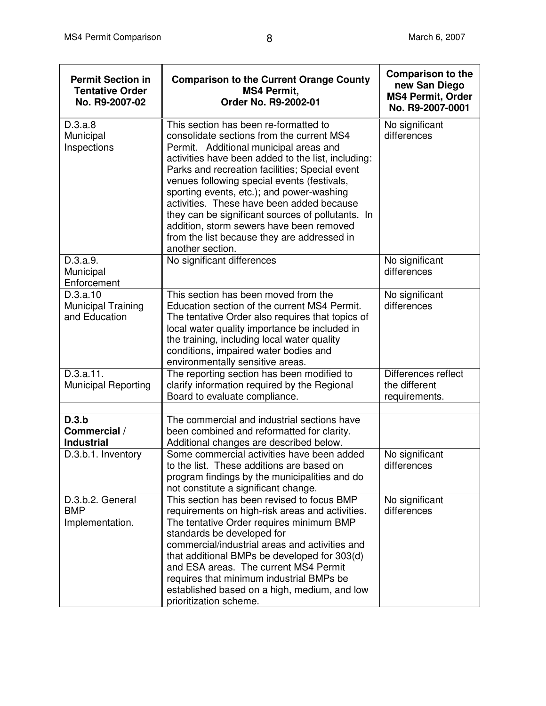| <b>Permit Section in</b><br><b>Tentative Order</b><br>No. R9-2007-02 | <b>Comparison to the Current Orange County</b><br><b>MS4 Permit,</b><br>Order No. R9-2002-01                                                                                                                                                                                                                                                                                                                                                                                                                                                      | <b>Comparison to the</b><br>new San Diego<br><b>MS4 Permit, Order</b><br>No. R9-2007-0001 |
|----------------------------------------------------------------------|---------------------------------------------------------------------------------------------------------------------------------------------------------------------------------------------------------------------------------------------------------------------------------------------------------------------------------------------------------------------------------------------------------------------------------------------------------------------------------------------------------------------------------------------------|-------------------------------------------------------------------------------------------|
| D.3.a.8<br>Municipal<br>Inspections                                  | This section has been re-formatted to<br>consolidate sections from the current MS4<br>Permit. Additional municipal areas and<br>activities have been added to the list, including:<br>Parks and recreation facilities; Special event<br>venues following special events (festivals,<br>sporting events, etc.); and power-washing<br>activities. These have been added because<br>they can be significant sources of pollutants. In<br>addition, storm sewers have been removed<br>from the list because they are addressed in<br>another section. | No significant<br>differences                                                             |
| D.3.a.9.<br>Municipal<br>Enforcement                                 | No significant differences                                                                                                                                                                                                                                                                                                                                                                                                                                                                                                                        | No significant<br>differences                                                             |
| D.3.a.10<br>Municipal Training<br>and Education                      | This section has been moved from the<br>Education section of the current MS4 Permit.<br>The tentative Order also requires that topics of<br>local water quality importance be included in<br>the training, including local water quality<br>conditions, impaired water bodies and<br>environmentally sensitive areas.                                                                                                                                                                                                                             | No significant<br>differences                                                             |
| D.3.a.11.<br><b>Municipal Reporting</b>                              | The reporting section has been modified to<br>clarify information required by the Regional<br>Board to evaluate compliance.                                                                                                                                                                                                                                                                                                                                                                                                                       | Differences reflect<br>the different<br>requirements.                                     |
| D.3.b<br>Commercial /<br><b>Industrial</b>                           | The commercial and industrial sections have<br>been combined and reformatted for clarity.<br>Additional changes are described below.                                                                                                                                                                                                                                                                                                                                                                                                              |                                                                                           |
| D.3.b.1. Inventory                                                   | Some commercial activities have been added<br>to the list. These additions are based on<br>program findings by the municipalities and do<br>not constitute a significant change.                                                                                                                                                                                                                                                                                                                                                                  | No significant<br>differences                                                             |
| D.3.b.2. General<br><b>BMP</b><br>Implementation.                    | This section has been revised to focus BMP<br>requirements on high-risk areas and activities.<br>The tentative Order requires minimum BMP<br>standards be developed for<br>commercial/industrial areas and activities and<br>that additional BMPs be developed for 303(d)<br>and ESA areas. The current MS4 Permit<br>requires that minimum industrial BMPs be<br>established based on a high, medium, and low<br>prioritization scheme.                                                                                                          | No significant<br>differences                                                             |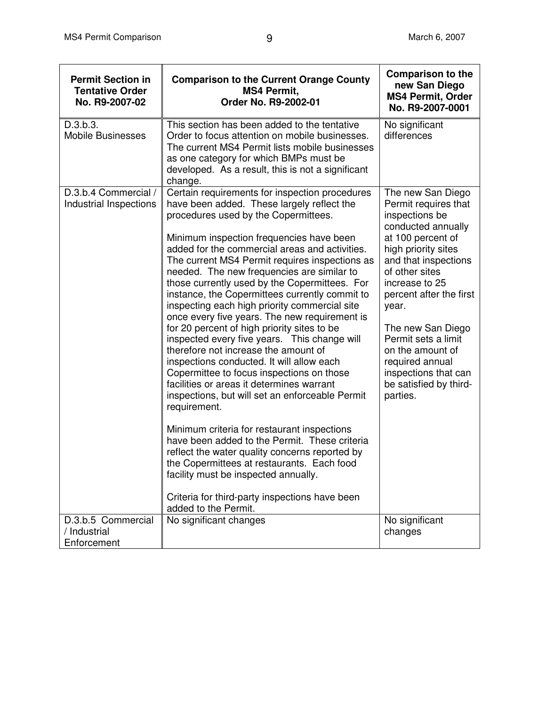| <b>Permit Section in</b><br><b>Tentative Order</b><br>No. R9-2007-02 | <b>Comparison to the Current Orange County</b><br><b>MS4 Permit,</b><br>Order No. R9-2002-01                                                                                                                                                                                                                                                                                                                                                                                                                                                                                                                                                                                                                                                                                                                                                                                                                                                                                                                                                                                                                                                                                                               | <b>Comparison to the</b><br>new San Diego<br><b>MS4 Permit, Order</b><br>No. R9-2007-0001                                                                                                                                                                                                                                                                                      |
|----------------------------------------------------------------------|------------------------------------------------------------------------------------------------------------------------------------------------------------------------------------------------------------------------------------------------------------------------------------------------------------------------------------------------------------------------------------------------------------------------------------------------------------------------------------------------------------------------------------------------------------------------------------------------------------------------------------------------------------------------------------------------------------------------------------------------------------------------------------------------------------------------------------------------------------------------------------------------------------------------------------------------------------------------------------------------------------------------------------------------------------------------------------------------------------------------------------------------------------------------------------------------------------|--------------------------------------------------------------------------------------------------------------------------------------------------------------------------------------------------------------------------------------------------------------------------------------------------------------------------------------------------------------------------------|
| D.3.b.3.<br><b>Mobile Businesses</b>                                 | This section has been added to the tentative<br>Order to focus attention on mobile businesses.<br>The current MS4 Permit lists mobile businesses<br>as one category for which BMPs must be<br>developed. As a result, this is not a significant<br>change.                                                                                                                                                                                                                                                                                                                                                                                                                                                                                                                                                                                                                                                                                                                                                                                                                                                                                                                                                 | No significant<br>differences                                                                                                                                                                                                                                                                                                                                                  |
| D.3.b.4 Commercial /<br>Industrial Inspections                       | Certain requirements for inspection procedures<br>have been added. These largely reflect the<br>procedures used by the Copermittees.<br>Minimum inspection frequencies have been<br>added for the commercial areas and activities.<br>The current MS4 Permit requires inspections as<br>needed. The new frequencies are similar to<br>those currently used by the Copermittees. For<br>instance, the Copermittees currently commit to<br>inspecting each high priority commercial site<br>once every five years. The new requirement is<br>for 20 percent of high priority sites to be<br>inspected every five years. This change will<br>therefore not increase the amount of<br>inspections conducted. It will allow each<br>Copermittee to focus inspections on those<br>facilities or areas it determines warrant<br>inspections, but will set an enforceable Permit<br>requirement.<br>Minimum criteria for restaurant inspections<br>have been added to the Permit. These criteria<br>reflect the water quality concerns reported by<br>the Copermittees at restaurants. Each food<br>facility must be inspected annually.<br>Criteria for third-party inspections have been<br>added to the Permit. | The new San Diego<br>Permit requires that<br>inspections be<br>conducted annually<br>at 100 percent of<br>high priority sites<br>and that inspections<br>of other sites<br>increase to 25<br>percent after the first<br>year.<br>The new San Diego<br>Permit sets a limit<br>on the amount of<br>required annual<br>inspections that can<br>be satisfied by third-<br>parties. |
| D.3.b.5 Commercial<br>/ Industrial<br>Enforcement                    | No significant changes                                                                                                                                                                                                                                                                                                                                                                                                                                                                                                                                                                                                                                                                                                                                                                                                                                                                                                                                                                                                                                                                                                                                                                                     | No significant<br>changes                                                                                                                                                                                                                                                                                                                                                      |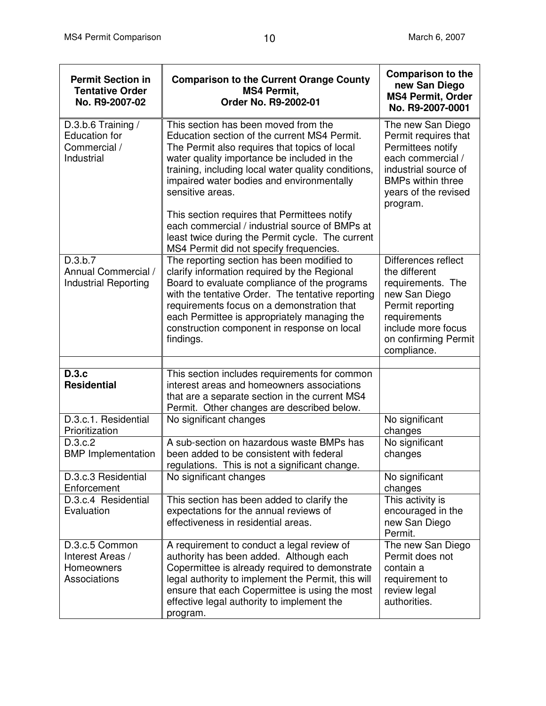| <b>Permit Section in</b><br><b>Tentative Order</b><br>No. R9-2007-02     | <b>Comparison to the Current Orange County</b><br><b>MS4 Permit,</b><br>Order No. R9-2002-01                                                                                                                                                                                                                                                                 | <b>Comparison to the</b><br>new San Diego<br><b>MS4 Permit, Order</b><br>No. R9-2007-0001                                                                                   |
|--------------------------------------------------------------------------|--------------------------------------------------------------------------------------------------------------------------------------------------------------------------------------------------------------------------------------------------------------------------------------------------------------------------------------------------------------|-----------------------------------------------------------------------------------------------------------------------------------------------------------------------------|
| D.3.b.6 Training /<br><b>Education</b> for<br>Commercial /<br>Industrial | This section has been moved from the<br>Education section of the current MS4 Permit.<br>The Permit also requires that topics of local<br>water quality importance be included in the<br>training, including local water quality conditions,<br>impaired water bodies and environmentally<br>sensitive areas.<br>This section requires that Permittees notify | The new San Diego<br>Permit requires that<br>Permittees notify<br>each commercial /<br>industrial source of<br><b>BMPs within three</b><br>years of the revised<br>program. |
|                                                                          | each commercial / industrial source of BMPs at<br>least twice during the Permit cycle. The current<br>MS4 Permit did not specify frequencies.                                                                                                                                                                                                                |                                                                                                                                                                             |
| D.3.b.7<br>Annual Commercial /<br><b>Industrial Reporting</b>            | The reporting section has been modified to<br>clarify information required by the Regional<br>Board to evaluate compliance of the programs<br>with the tentative Order. The tentative reporting<br>requirements focus on a demonstration that<br>each Permittee is appropriately managing the<br>construction component in response on local<br>findings.    | Differences reflect<br>the different<br>requirements. The<br>new San Diego<br>Permit reporting<br>requirements<br>include more focus<br>on confirming Permit<br>compliance. |
|                                                                          |                                                                                                                                                                                                                                                                                                                                                              |                                                                                                                                                                             |
| D.3.c<br><b>Residential</b>                                              | This section includes requirements for common<br>interest areas and homeowners associations<br>that are a separate section in the current MS4<br>Permit. Other changes are described below.                                                                                                                                                                  |                                                                                                                                                                             |
| D.3.c.1. Residential<br>Prioritization                                   | No significant changes                                                                                                                                                                                                                                                                                                                                       | No significant<br>changes                                                                                                                                                   |
| D.3.c.2<br><b>BMP</b> Implementation                                     | A sub-section on hazardous waste BMPs has<br>been added to be consistent with federal<br>regulations. This is not a significant change.                                                                                                                                                                                                                      | No significant<br>changes                                                                                                                                                   |
| D.3.c.3 Residential<br>Enforcement                                       | No significant changes                                                                                                                                                                                                                                                                                                                                       | No significant<br>changes                                                                                                                                                   |
| D.3.c.4 Residential<br>Evaluation                                        | This section has been added to clarify the<br>expectations for the annual reviews of<br>effectiveness in residential areas.                                                                                                                                                                                                                                  | This activity is<br>encouraged in the<br>new San Diego<br>Permit.                                                                                                           |
| D.3.c.5 Common<br>Interest Areas /<br>Homeowners<br>Associations         | A requirement to conduct a legal review of<br>authority has been added. Although each<br>Copermittee is already required to demonstrate<br>legal authority to implement the Permit, this will<br>ensure that each Copermittee is using the most<br>effective legal authority to implement the<br>program.                                                    | The new San Diego<br>Permit does not<br>contain a<br>requirement to<br>review legal<br>authorities.                                                                         |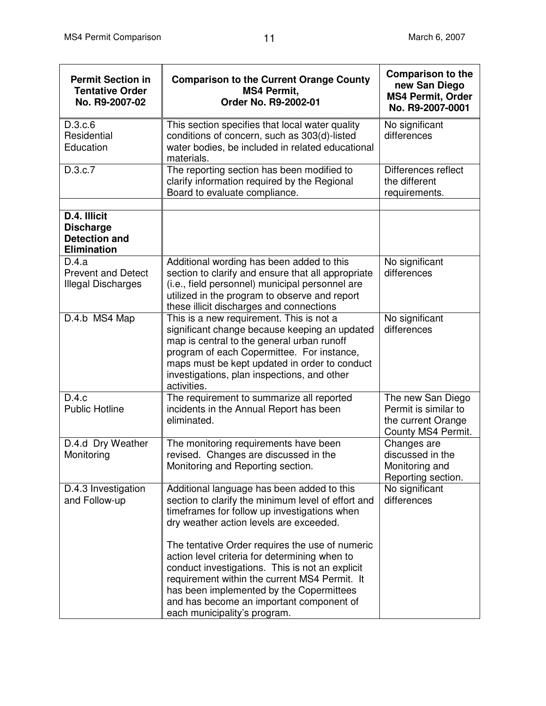| <b>Permit Section in</b><br><b>Tentative Order</b><br>No. R9-2007-02           | <b>Comparison to the Current Orange County</b><br><b>MS4 Permit,</b><br>Order No. R9-2002-01                                                                                                                                                                                                                                                                                                                                                                                                | <b>Comparison to the</b><br>new San Diego<br><b>MS4 Permit, Order</b><br>No. R9-2007-0001 |
|--------------------------------------------------------------------------------|---------------------------------------------------------------------------------------------------------------------------------------------------------------------------------------------------------------------------------------------------------------------------------------------------------------------------------------------------------------------------------------------------------------------------------------------------------------------------------------------|-------------------------------------------------------------------------------------------|
| D.3.c.6<br>Residential<br>Education                                            | This section specifies that local water quality<br>conditions of concern, such as 303(d)-listed<br>water bodies, be included in related educational<br>materials.                                                                                                                                                                                                                                                                                                                           | No significant<br>differences                                                             |
| D.3.c.7                                                                        | The reporting section has been modified to<br>clarify information required by the Regional<br>Board to evaluate compliance.                                                                                                                                                                                                                                                                                                                                                                 | Differences reflect<br>the different<br>requirements.                                     |
| D.4. Illicit<br><b>Discharge</b><br><b>Detection and</b><br><b>Elimination</b> |                                                                                                                                                                                                                                                                                                                                                                                                                                                                                             |                                                                                           |
| D.4.a<br><b>Prevent and Detect</b><br>Illegal Discharges                       | Additional wording has been added to this<br>section to clarify and ensure that all appropriate<br>(i.e., field personnel) municipal personnel are<br>utilized in the program to observe and report<br>these illicit discharges and connections                                                                                                                                                                                                                                             | No significant<br>differences                                                             |
| D.4.b MS4 Map                                                                  | This is a new requirement. This is not a<br>significant change because keeping an updated<br>map is central to the general urban runoff<br>program of each Copermittee. For instance,<br>maps must be kept updated in order to conduct<br>investigations, plan inspections, and other<br>activities.                                                                                                                                                                                        | No significant<br>differences                                                             |
| D.4.c<br><b>Public Hotline</b>                                                 | The requirement to summarize all reported<br>incidents in the Annual Report has been<br>eliminated.                                                                                                                                                                                                                                                                                                                                                                                         | The new San Diego<br>Permit is similar to<br>the current Orange<br>County MS4 Permit.     |
| D.4.d Dry Weather<br>Monitoring                                                | The monitoring requirements have been<br>revised. Changes are discussed in the<br>Monitoring and Reporting section.                                                                                                                                                                                                                                                                                                                                                                         | Changes are<br>discussed in the<br>Monitoring and<br>Reporting section.                   |
| D.4.3 Investigation<br>and Follow-up                                           | Additional language has been added to this<br>section to clarify the minimum level of effort and<br>timeframes for follow up investigations when<br>dry weather action levels are exceeded.<br>The tentative Order requires the use of numeric<br>action level criteria for determining when to<br>conduct investigations. This is not an explicit<br>requirement within the current MS4 Permit. It<br>has been implemented by the Copermittees<br>and has become an important component of | No significant<br>differences                                                             |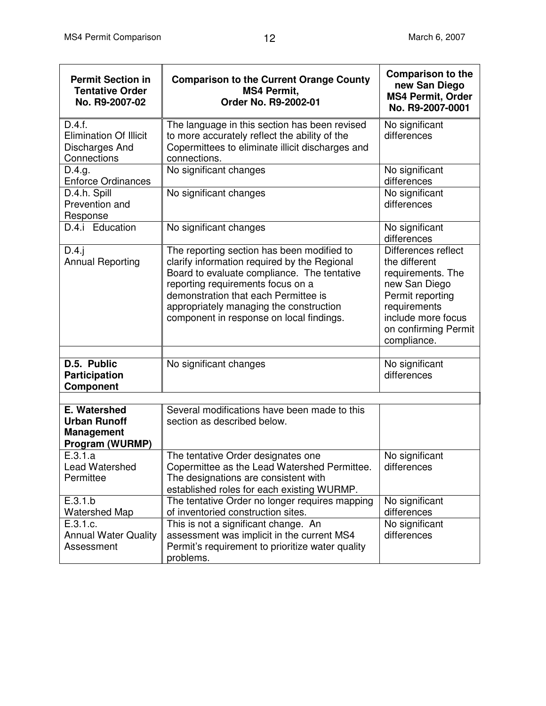| <b>Permit Section in</b><br><b>Tentative Order</b><br>No. R9-2007-02        | <b>Comparison to the Current Orange County</b><br><b>MS4 Permit,</b><br>Order No. R9-2002-01                                                                                                                                                                                                                  | <b>Comparison to the</b><br>new San Diego<br><b>MS4 Permit, Order</b><br>No. R9-2007-0001                                                                                   |
|-----------------------------------------------------------------------------|---------------------------------------------------------------------------------------------------------------------------------------------------------------------------------------------------------------------------------------------------------------------------------------------------------------|-----------------------------------------------------------------------------------------------------------------------------------------------------------------------------|
| D.4.f.<br><b>Elimination Of Illicit</b><br>Discharges And<br>Connections    | The language in this section has been revised<br>to more accurately reflect the ability of the<br>Copermittees to eliminate illicit discharges and<br>connections.                                                                                                                                            | No significant<br>differences                                                                                                                                               |
| D.4.g.<br><b>Enforce Ordinances</b>                                         | No significant changes                                                                                                                                                                                                                                                                                        | No significant<br>differences                                                                                                                                               |
| D.4.h. Spill<br>Prevention and<br>Response                                  | No significant changes                                                                                                                                                                                                                                                                                        | No significant<br>differences                                                                                                                                               |
| D.4.i Education                                                             | No significant changes                                                                                                                                                                                                                                                                                        | No significant<br>differences                                                                                                                                               |
| D.4.i<br><b>Annual Reporting</b>                                            | The reporting section has been modified to<br>clarify information required by the Regional<br>Board to evaluate compliance. The tentative<br>reporting requirements focus on a<br>demonstration that each Permittee is<br>appropriately managing the construction<br>component in response on local findings. | Differences reflect<br>the different<br>requirements. The<br>new San Diego<br>Permit reporting<br>requirements<br>include more focus<br>on confirming Permit<br>compliance. |
| D.5. Public<br><b>Participation</b><br>Component                            | No significant changes                                                                                                                                                                                                                                                                                        | No significant<br>differences                                                                                                                                               |
| E. Watershed<br><b>Urban Runoff</b><br><b>Management</b><br>Program (WURMP) | Several modifications have been made to this<br>section as described below.                                                                                                                                                                                                                                   |                                                                                                                                                                             |
| E.3.1.a<br><b>Lead Watershed</b><br>Permittee                               | The tentative Order designates one<br>Copermittee as the Lead Watershed Permittee.<br>The designations are consistent with<br>established roles for each existing WURMP.                                                                                                                                      | No significant<br>differences                                                                                                                                               |
| E.3.1.b<br><b>Watershed Map</b>                                             | The tentative Order no longer requires mapping<br>of inventoried construction sites.                                                                                                                                                                                                                          | No significant<br>differences                                                                                                                                               |
| E.3.1.c.<br><b>Annual Water Quality</b><br>Assessment                       | This is not a significant change. An<br>assessment was implicit in the current MS4<br>Permit's requirement to prioritize water quality<br>problems.                                                                                                                                                           | No significant<br>differences                                                                                                                                               |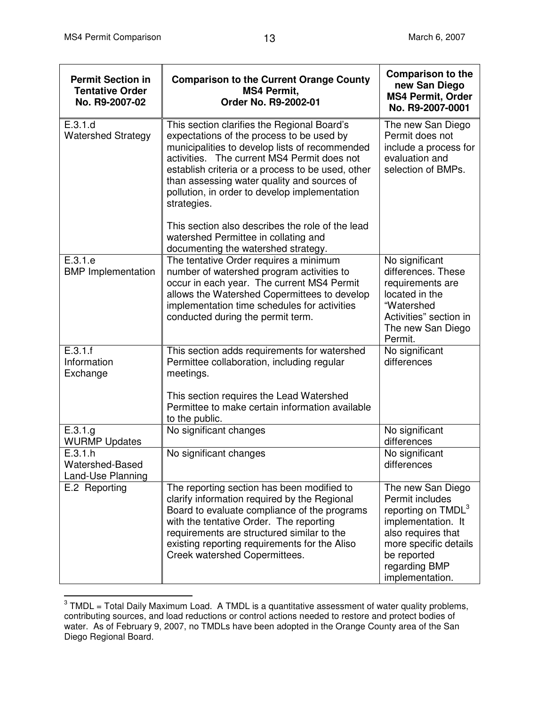| <b>Permit Section in</b><br><b>Tentative Order</b><br>No. R9-2007-02 | <b>Comparison to the Current Orange County</b><br><b>MS4 Permit.</b><br>Order No. R9-2002-01                                                                                                                                                                                                                                                                                                                      | <b>Comparison to the</b><br>new San Diego<br><b>MS4 Permit, Order</b><br>No. R9-2007-0001                                                                                                      |
|----------------------------------------------------------------------|-------------------------------------------------------------------------------------------------------------------------------------------------------------------------------------------------------------------------------------------------------------------------------------------------------------------------------------------------------------------------------------------------------------------|------------------------------------------------------------------------------------------------------------------------------------------------------------------------------------------------|
| E.3.1.d<br><b>Watershed Strategy</b>                                 | This section clarifies the Regional Board's<br>expectations of the process to be used by<br>municipalities to develop lists of recommended<br>activities. The current MS4 Permit does not<br>establish criteria or a process to be used, other<br>than assessing water quality and sources of<br>pollution, in order to develop implementation<br>strategies.<br>This section also describes the role of the lead | The new San Diego<br>Permit does not<br>include a process for<br>evaluation and<br>selection of BMPs.                                                                                          |
|                                                                      | watershed Permittee in collating and<br>documenting the watershed strategy.                                                                                                                                                                                                                                                                                                                                       |                                                                                                                                                                                                |
| E.3.1.e<br><b>BMP</b> Implementation                                 | The tentative Order requires a minimum<br>number of watershed program activities to<br>occur in each year. The current MS4 Permit<br>allows the Watershed Copermittees to develop<br>implementation time schedules for activities<br>conducted during the permit term.                                                                                                                                            | No significant<br>differences. These<br>requirements are<br>located in the<br>"Watershed<br>Activities" section in<br>The new San Diego<br>Permit.                                             |
| E.3.1.f<br>Information<br>Exchange                                   | This section adds requirements for watershed<br>Permittee collaboration, including regular<br>meetings.                                                                                                                                                                                                                                                                                                           | No significant<br>differences                                                                                                                                                                  |
|                                                                      | This section requires the Lead Watershed<br>Permittee to make certain information available<br>to the public.                                                                                                                                                                                                                                                                                                     |                                                                                                                                                                                                |
| E.3.1.g<br><b>WURMP Updates</b>                                      | No significant changes                                                                                                                                                                                                                                                                                                                                                                                            | No significant<br>differences                                                                                                                                                                  |
| E.3.1.h<br>Watershed-Based<br>Land-Use Planning                      | No significant changes                                                                                                                                                                                                                                                                                                                                                                                            | No significant<br>differences                                                                                                                                                                  |
| E.2 Reporting                                                        | The reporting section has been modified to<br>clarify information required by the Regional<br>Board to evaluate compliance of the programs<br>with the tentative Order. The reporting<br>requirements are structured similar to the<br>existing reporting requirements for the Aliso<br>Creek watershed Copermittees.                                                                                             | The new San Diego<br>Permit includes<br>reporting on TMDL <sup>3</sup><br>implementation. It<br>also requires that<br>more specific details<br>be reported<br>regarding BMP<br>implementation. |

 $3$  TMDL = Total Daily Maximum Load. A TMDL is a quantitative assessment of water quality problems, contributing sources, and load reductions or control actions needed to restore and protect bodies of water. As of February 9, 2007, no TMDLs have been adopted in the Orange County area of the San Diego Regional Board.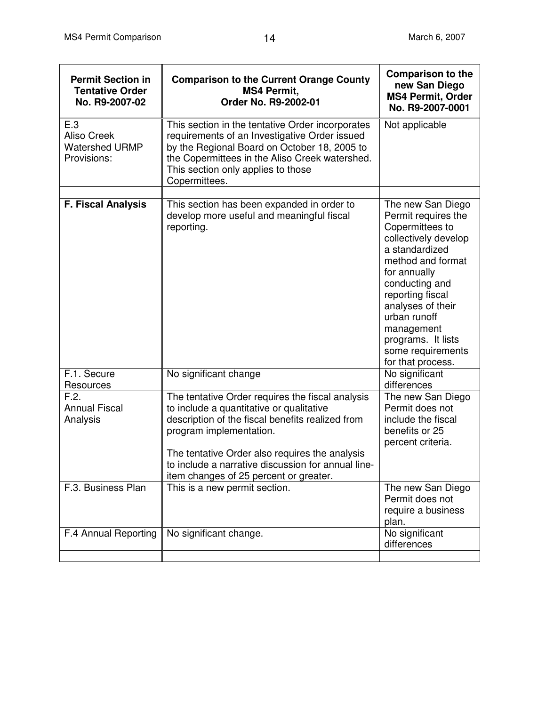| <b>Permit Section in</b><br><b>Tentative Order</b><br>No. R9-2007-02 | <b>Comparison to the Current Orange County</b><br><b>MS4 Permit,</b><br>Order No. R9-2002-01                                                                                                                                                                                                                                  | <b>Comparison to the</b><br>new San Diego<br><b>MS4 Permit, Order</b><br>No. R9-2007-0001                                                                                                                                                                                                           |
|----------------------------------------------------------------------|-------------------------------------------------------------------------------------------------------------------------------------------------------------------------------------------------------------------------------------------------------------------------------------------------------------------------------|-----------------------------------------------------------------------------------------------------------------------------------------------------------------------------------------------------------------------------------------------------------------------------------------------------|
| E.3<br><b>Aliso Creek</b><br><b>Watershed URMP</b><br>Provisions:    | This section in the tentative Order incorporates<br>requirements of an Investigative Order issued<br>by the Regional Board on October 18, 2005 to<br>the Copermittees in the Aliso Creek watershed.<br>This section only applies to those<br>Copermittees.                                                                    | Not applicable                                                                                                                                                                                                                                                                                      |
|                                                                      |                                                                                                                                                                                                                                                                                                                               |                                                                                                                                                                                                                                                                                                     |
| <b>F. Fiscal Analysis</b>                                            | This section has been expanded in order to<br>develop more useful and meaningful fiscal<br>reporting.                                                                                                                                                                                                                         | The new San Diego<br>Permit requires the<br>Copermittees to<br>collectively develop<br>a standardized<br>method and format<br>for annually<br>conducting and<br>reporting fiscal<br>analyses of their<br>urban runoff<br>management<br>programs. It lists<br>some requirements<br>for that process. |
| F.1. Secure<br>Resources                                             | No significant change                                                                                                                                                                                                                                                                                                         | No significant<br>differences                                                                                                                                                                                                                                                                       |
| F.2.<br><b>Annual Fiscal</b><br>Analysis                             | The tentative Order requires the fiscal analysis<br>to include a quantitative or qualitative<br>description of the fiscal benefits realized from<br>program implementation.<br>The tentative Order also requires the analysis<br>to include a narrative discussion for annual line-<br>item changes of 25 percent or greater. | The new San Diego<br>Permit does not<br>include the fiscal<br>benefits or 25<br>percent criteria.                                                                                                                                                                                                   |
| F.3. Business Plan                                                   | This is a new permit section.                                                                                                                                                                                                                                                                                                 | The new San Diego<br>Permit does not<br>require a business<br>plan.                                                                                                                                                                                                                                 |
| F.4 Annual Reporting                                                 | No significant change.                                                                                                                                                                                                                                                                                                        | No significant<br>differences                                                                                                                                                                                                                                                                       |
|                                                                      |                                                                                                                                                                                                                                                                                                                               |                                                                                                                                                                                                                                                                                                     |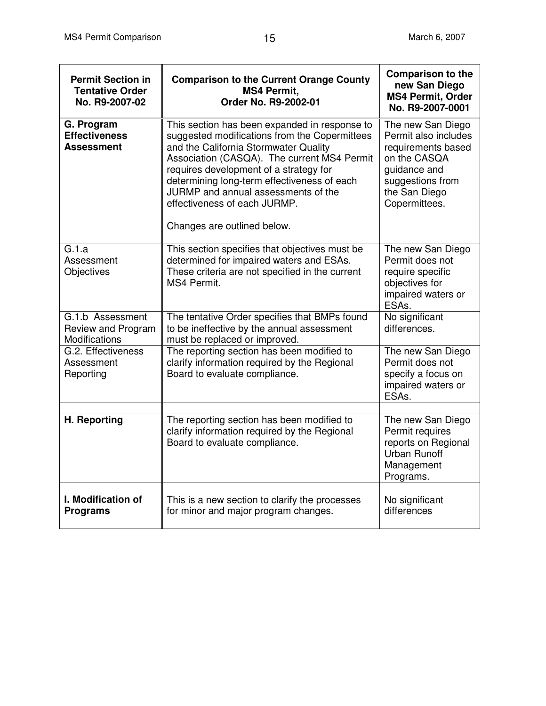| <b>Permit Section in</b><br><b>Tentative Order</b><br>No. R9-2007-02 | <b>Comparison to the Current Orange County</b><br><b>MS4 Permit,</b><br>Order No. R9-2002-01                                                                                                                                                                                                                                                                                          | <b>Comparison to the</b><br>new San Diego<br><b>MS4 Permit, Order</b><br>No. R9-2007-0001                                                             |
|----------------------------------------------------------------------|---------------------------------------------------------------------------------------------------------------------------------------------------------------------------------------------------------------------------------------------------------------------------------------------------------------------------------------------------------------------------------------|-------------------------------------------------------------------------------------------------------------------------------------------------------|
| G. Program<br><b>Effectiveness</b><br>Assessment                     | This section has been expanded in response to<br>suggested modifications from the Copermittees<br>and the California Stormwater Quality<br>Association (CASQA). The current MS4 Permit<br>requires development of a strategy for<br>determining long-term effectiveness of each<br>JURMP and annual assessments of the<br>effectiveness of each JURMP.<br>Changes are outlined below. | The new San Diego<br>Permit also includes<br>requirements based<br>on the CASQA<br>quidance and<br>suggestions from<br>the San Diego<br>Copermittees. |
| G.1.a<br>Assessment<br>Objectives                                    | This section specifies that objectives must be<br>determined for impaired waters and ESAs.<br>These criteria are not specified in the current<br>MS4 Permit.                                                                                                                                                                                                                          | The new San Diego<br>Permit does not<br>require specific<br>objectives for<br>impaired waters or<br>ESAs.                                             |
| G.1.b Assessment<br>Review and Program<br>Modifications              | The tentative Order specifies that BMPs found<br>to be ineffective by the annual assessment<br>must be replaced or improved.                                                                                                                                                                                                                                                          | No significant<br>differences.                                                                                                                        |
| G.2. Effectiveness<br>Assessment<br>Reporting                        | The reporting section has been modified to<br>clarify information required by the Regional<br>Board to evaluate compliance.                                                                                                                                                                                                                                                           | The new San Diego<br>Permit does not<br>specify a focus on<br>impaired waters or<br>ESA <sub>s</sub> .                                                |
| H. Reporting                                                         | The reporting section has been modified to<br>clarify information required by the Regional<br>Board to evaluate compliance.                                                                                                                                                                                                                                                           | The new San Diego<br>Permit requires<br>reports on Regional<br><b>Urban Runoff</b><br>Management<br>Programs.                                         |
| I. Modification of<br><b>Programs</b>                                | This is a new section to clarify the processes<br>for minor and major program changes.                                                                                                                                                                                                                                                                                                | No significant<br>differences                                                                                                                         |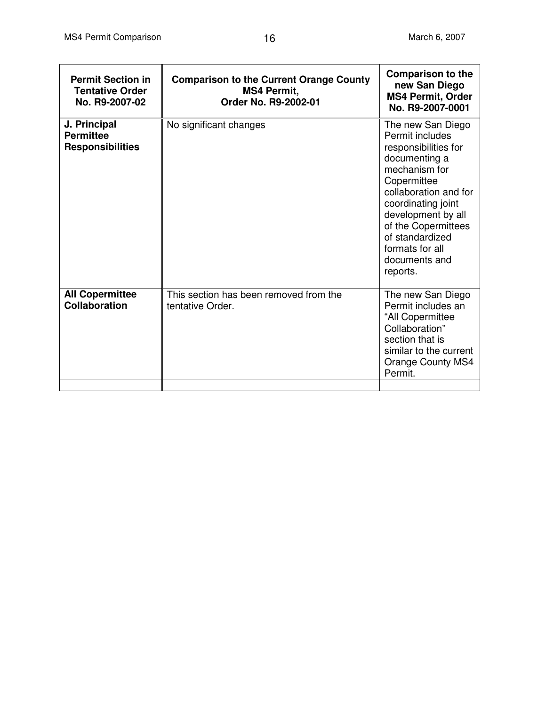| <b>Permit Section in</b><br><b>Tentative Order</b><br>No. R9-2007-02 | <b>Comparison to the Current Orange County</b><br><b>MS4 Permit,</b><br>Order No. R9-2002-01 | <b>Comparison to the</b><br>new San Diego<br><b>MS4 Permit, Order</b><br>No. R9-2007-0001                                                                                                                                                                                    |
|----------------------------------------------------------------------|----------------------------------------------------------------------------------------------|------------------------------------------------------------------------------------------------------------------------------------------------------------------------------------------------------------------------------------------------------------------------------|
| J. Principal<br><b>Permittee</b><br><b>Responsibilities</b>          | No significant changes                                                                       | The new San Diego<br>Permit includes<br>responsibilities for<br>documenting a<br>mechanism for<br>Copermittee<br>collaboration and for<br>coordinating joint<br>development by all<br>of the Copermittees<br>of standardized<br>formats for all<br>documents and<br>reports. |
|                                                                      |                                                                                              |                                                                                                                                                                                                                                                                              |
| <b>All Copermittee</b><br>Collaboration                              | This section has been removed from the<br>tentative Order.                                   | The new San Diego<br>Permit includes an<br>"All Copermittee<br>Collaboration"<br>section that is<br>similar to the current<br><b>Orange County MS4</b><br>Permit.                                                                                                            |
|                                                                      |                                                                                              |                                                                                                                                                                                                                                                                              |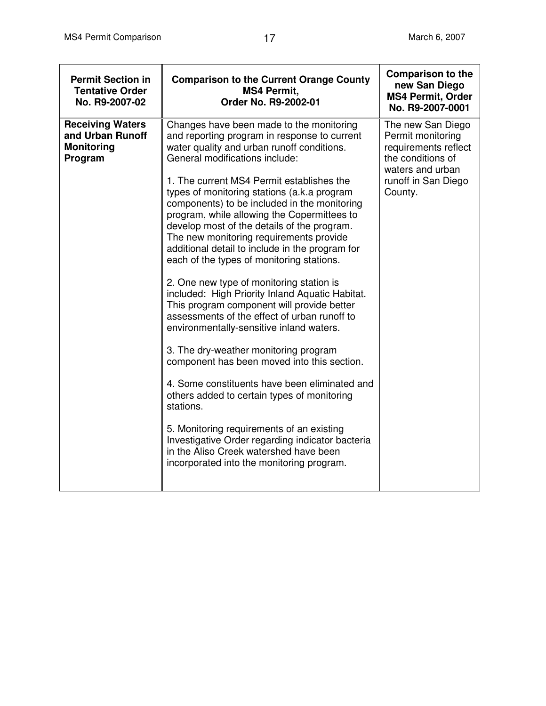| <b>Permit Section in</b><br><b>Tentative Order</b><br>No. R9-2007-02        | <b>Comparison to the Current Orange County</b><br><b>MS4 Permit,</b><br>Order No. R9-2002-01                                                                                                                                                                                                                                                                                                                                                                                                                                                                                                                                                                                                                                                                                                                                                                                                                                                                                                                                                                                                                                                                                                        | <b>Comparison to the</b><br>new San Diego<br><b>MS4 Permit, Order</b><br>No. R9-2007-0001                                                 |
|-----------------------------------------------------------------------------|-----------------------------------------------------------------------------------------------------------------------------------------------------------------------------------------------------------------------------------------------------------------------------------------------------------------------------------------------------------------------------------------------------------------------------------------------------------------------------------------------------------------------------------------------------------------------------------------------------------------------------------------------------------------------------------------------------------------------------------------------------------------------------------------------------------------------------------------------------------------------------------------------------------------------------------------------------------------------------------------------------------------------------------------------------------------------------------------------------------------------------------------------------------------------------------------------------|-------------------------------------------------------------------------------------------------------------------------------------------|
| <b>Receiving Waters</b><br>and Urban Runoff<br><b>Monitoring</b><br>Program | Changes have been made to the monitoring<br>and reporting program in response to current<br>water quality and urban runoff conditions.<br>General modifications include:<br>1. The current MS4 Permit establishes the<br>types of monitoring stations (a.k.a program<br>components) to be included in the monitoring<br>program, while allowing the Copermittees to<br>develop most of the details of the program.<br>The new monitoring requirements provide<br>additional detail to include in the program for<br>each of the types of monitoring stations.<br>2. One new type of monitoring station is<br>included: High Priority Inland Aquatic Habitat.<br>This program component will provide better<br>assessments of the effect of urban runoff to<br>environmentally-sensitive inland waters.<br>3. The dry-weather monitoring program<br>component has been moved into this section.<br>4. Some constituents have been eliminated and<br>others added to certain types of monitoring<br>stations.<br>5. Monitoring requirements of an existing<br>Investigative Order regarding indicator bacteria<br>in the Aliso Creek watershed have been<br>incorporated into the monitoring program. | The new San Diego<br>Permit monitoring<br>requirements reflect<br>the conditions of<br>waters and urban<br>runoff in San Diego<br>County. |
|                                                                             |                                                                                                                                                                                                                                                                                                                                                                                                                                                                                                                                                                                                                                                                                                                                                                                                                                                                                                                                                                                                                                                                                                                                                                                                     |                                                                                                                                           |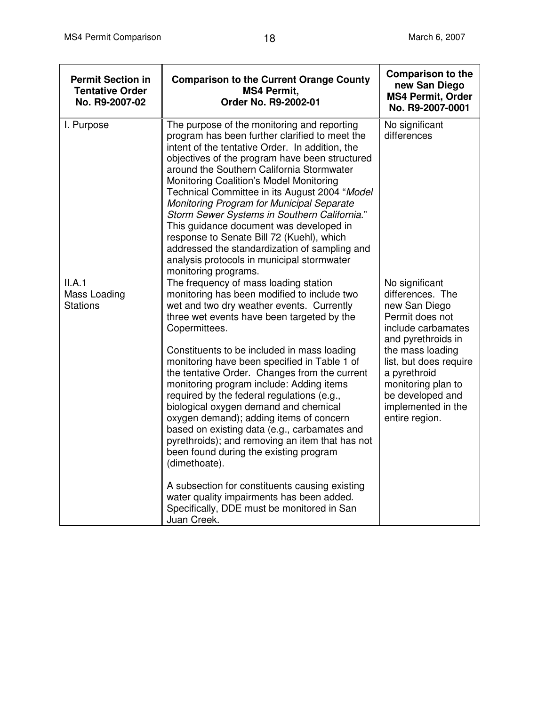| <b>Permit Section in</b><br><b>Tentative Order</b><br>No. R9-2007-02 | <b>Comparison to the Current Orange County</b><br><b>MS4 Permit.</b><br>Order No. R9-2002-01                                                                                                                                                                                                                                                                                                                                                                                                                                                                                                                                                                                                                                                                                                                                                             | <b>Comparison to the</b><br>new San Diego<br><b>MS4 Permit, Order</b><br>No. R9-2007-0001                                                                                                                                                                          |
|----------------------------------------------------------------------|----------------------------------------------------------------------------------------------------------------------------------------------------------------------------------------------------------------------------------------------------------------------------------------------------------------------------------------------------------------------------------------------------------------------------------------------------------------------------------------------------------------------------------------------------------------------------------------------------------------------------------------------------------------------------------------------------------------------------------------------------------------------------------------------------------------------------------------------------------|--------------------------------------------------------------------------------------------------------------------------------------------------------------------------------------------------------------------------------------------------------------------|
| I. Purpose                                                           | The purpose of the monitoring and reporting<br>program has been further clarified to meet the<br>intent of the tentative Order. In addition, the<br>objectives of the program have been structured<br>around the Southern California Stormwater<br>Monitoring Coalition's Model Monitoring<br>Technical Committee in its August 2004 "Model<br>Monitoring Program for Municipal Separate<br>Storm Sewer Systems in Southern California."<br>This guidance document was developed in<br>response to Senate Bill 72 (Kuehl), which<br>addressed the standardization of sampling and<br>analysis protocols in municipal stormwater<br>monitoring programs.                                                                                                                                                                                                  | No significant<br>differences                                                                                                                                                                                                                                      |
| II.A.1<br>Mass Loading<br><b>Stations</b>                            | The frequency of mass loading station<br>monitoring has been modified to include two<br>wet and two dry weather events. Currently<br>three wet events have been targeted by the<br>Copermittees.<br>Constituents to be included in mass loading<br>monitoring have been specified in Table 1 of<br>the tentative Order. Changes from the current<br>monitoring program include: Adding items<br>required by the federal regulations (e.g.,<br>biological oxygen demand and chemical<br>oxygen demand); adding items of concern<br>based on existing data (e.g., carbamates and<br>pyrethroids); and removing an item that has not<br>been found during the existing program<br>(dimethoate).<br>A subsection for constituents causing existing<br>water quality impairments has been added.<br>Specifically, DDE must be monitored in San<br>Juan Creek. | No significant<br>differences. The<br>new San Diego<br>Permit does not<br>include carbamates<br>and pyrethroids in<br>the mass loading<br>list, but does require<br>a pyrethroid<br>monitoring plan to<br>be developed and<br>implemented in the<br>entire region. |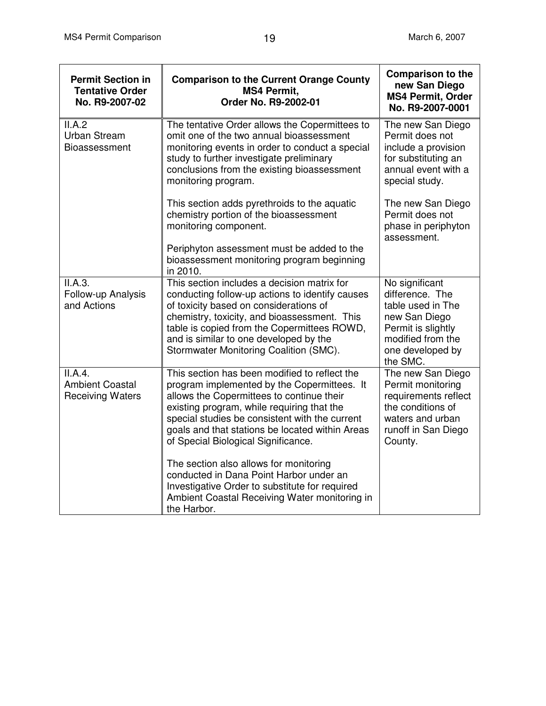| <b>Permit Section in</b><br><b>Tentative Order</b><br>No. R9-2007-02 | <b>Comparison to the Current Orange County</b><br><b>MS4 Permit,</b><br>Order No. R9-2002-01                                                                                                                                                                                                                                        | <b>Comparison to the</b><br>new San Diego<br><b>MS4 Permit, Order</b><br>No. R9-2007-0001                                                          |
|----------------------------------------------------------------------|-------------------------------------------------------------------------------------------------------------------------------------------------------------------------------------------------------------------------------------------------------------------------------------------------------------------------------------|----------------------------------------------------------------------------------------------------------------------------------------------------|
| II.A.2<br><b>Urban Stream</b><br>Bioassessment                       | The tentative Order allows the Copermittees to<br>omit one of the two annual bioassessment<br>monitoring events in order to conduct a special<br>study to further investigate preliminary<br>conclusions from the existing bioassessment<br>monitoring program.                                                                     | The new San Diego<br>Permit does not<br>include a provision<br>for substituting an<br>annual event with a<br>special study.                        |
|                                                                      | This section adds pyrethroids to the aquatic<br>chemistry portion of the bioassessment<br>monitoring component.                                                                                                                                                                                                                     | The new San Diego<br>Permit does not<br>phase in periphyton<br>assessment.                                                                         |
|                                                                      | Periphyton assessment must be added to the<br>bioassessment monitoring program beginning<br>in 2010.                                                                                                                                                                                                                                |                                                                                                                                                    |
| II.A.3.<br>Follow-up Analysis<br>and Actions                         | This section includes a decision matrix for<br>conducting follow-up actions to identify causes<br>of toxicity based on considerations of<br>chemistry, toxicity, and bioassessment. This<br>table is copied from the Copermittees ROWD,<br>and is similar to one developed by the<br>Stormwater Monitoring Coalition (SMC).         | No significant<br>difference. The<br>table used in The<br>new San Diego<br>Permit is slightly<br>modified from the<br>one developed by<br>the SMC. |
| II.A.4.<br><b>Ambient Coastal</b><br><b>Receiving Waters</b>         | This section has been modified to reflect the<br>program implemented by the Copermittees. It<br>allows the Copermittees to continue their<br>existing program, while requiring that the<br>special studies be consistent with the current<br>goals and that stations be located within Areas<br>of Special Biological Significance. | The new San Diego<br>Permit monitoring<br>requirements reflect<br>the conditions of<br>waters and urban<br>runoff in San Diego<br>County.          |
|                                                                      | The section also allows for monitoring<br>conducted in Dana Point Harbor under an<br>Investigative Order to substitute for required<br>Ambient Coastal Receiving Water monitoring in<br>the Harbor.                                                                                                                                 |                                                                                                                                                    |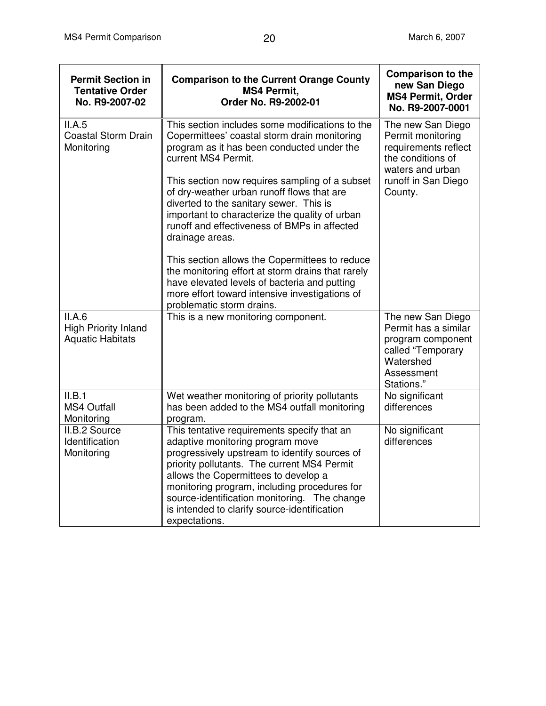| <b>Permit Section in</b><br><b>Tentative Order</b><br>No. R9-2007-02 | <b>Comparison to the Current Orange County</b><br><b>MS4 Permit,</b><br>Order No. R9-2002-01                                                                                                                                                                                                                                                                                                                                         | <b>Comparison to the</b><br>new San Diego<br><b>MS4 Permit, Order</b><br>No. R9-2007-0001                                                 |
|----------------------------------------------------------------------|--------------------------------------------------------------------------------------------------------------------------------------------------------------------------------------------------------------------------------------------------------------------------------------------------------------------------------------------------------------------------------------------------------------------------------------|-------------------------------------------------------------------------------------------------------------------------------------------|
| II.A.5<br><b>Coastal Storm Drain</b><br>Monitoring                   | This section includes some modifications to the<br>Copermittees' coastal storm drain monitoring<br>program as it has been conducted under the<br>current MS4 Permit.<br>This section now requires sampling of a subset<br>of dry-weather urban runoff flows that are<br>diverted to the sanitary sewer. This is<br>important to characterize the quality of urban<br>runoff and effectiveness of BMPs in affected<br>drainage areas. | The new San Diego<br>Permit monitoring<br>requirements reflect<br>the conditions of<br>waters and urban<br>runoff in San Diego<br>County. |
|                                                                      | This section allows the Copermittees to reduce<br>the monitoring effort at storm drains that rarely<br>have elevated levels of bacteria and putting<br>more effort toward intensive investigations of<br>problematic storm drains.                                                                                                                                                                                                   |                                                                                                                                           |
| II.A.6<br><b>High Priority Inland</b><br><b>Aquatic Habitats</b>     | This is a new monitoring component.                                                                                                                                                                                                                                                                                                                                                                                                  | The new San Diego<br>Permit has a similar<br>program component<br>called "Temporary<br>Watershed<br>Assessment<br>Stations."              |
| II.B.1<br><b>MS4 Outfall</b><br>Monitoring                           | Wet weather monitoring of priority pollutants<br>has been added to the MS4 outfall monitoring<br>program.                                                                                                                                                                                                                                                                                                                            | No significant<br>differences                                                                                                             |
| II.B.2 Source<br>Identification<br>Monitoring                        | This tentative requirements specify that an<br>adaptive monitoring program move<br>progressively upstream to identify sources of<br>priority pollutants. The current MS4 Permit<br>allows the Copermittees to develop a<br>monitoring program, including procedures for<br>source-identification monitoring. The change<br>is intended to clarify source-identification<br>expectations.                                             | No significant<br>differences                                                                                                             |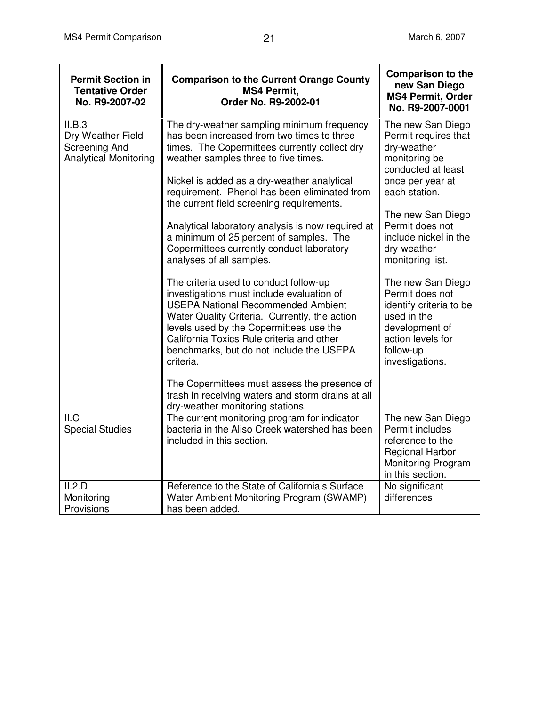| <b>Permit Section in</b><br><b>Tentative Order</b><br>No. R9-2007-02                | <b>Comparison to the Current Orange County</b><br><b>MS4 Permit,</b><br>Order No. R9-2002-01                                                                                                                                                                                                                                       | <b>Comparison to the</b><br>new San Diego<br><b>MS4 Permit, Order</b><br>No. R9-2007-0001                                                             |
|-------------------------------------------------------------------------------------|------------------------------------------------------------------------------------------------------------------------------------------------------------------------------------------------------------------------------------------------------------------------------------------------------------------------------------|-------------------------------------------------------------------------------------------------------------------------------------------------------|
| II.B.3<br>Dry Weather Field<br><b>Screening And</b><br><b>Analytical Monitoring</b> | The dry-weather sampling minimum frequency<br>has been increased from two times to three<br>times. The Copermittees currently collect dry<br>weather samples three to five times.<br>Nickel is added as a dry-weather analytical<br>requirement. Phenol has been eliminated from                                                   | The new San Diego<br>Permit requires that<br>dry-weather<br>monitoring be<br>conducted at least<br>once per year at<br>each station.                  |
|                                                                                     | the current field screening requirements.<br>Analytical laboratory analysis is now required at<br>a minimum of 25 percent of samples. The<br>Copermittees currently conduct laboratory<br>analyses of all samples.                                                                                                                 | The new San Diego<br>Permit does not<br>include nickel in the<br>dry-weather<br>monitoring list.                                                      |
|                                                                                     | The criteria used to conduct follow-up<br>investigations must include evaluation of<br><b>USEPA National Recommended Ambient</b><br>Water Quality Criteria. Currently, the action<br>levels used by the Copermittees use the<br>California Toxics Rule criteria and other<br>benchmarks, but do not include the USEPA<br>criteria. | The new San Diego<br>Permit does not<br>identify criteria to be<br>used in the<br>development of<br>action levels for<br>follow-up<br>investigations. |
|                                                                                     | The Copermittees must assess the presence of<br>trash in receiving waters and storm drains at all<br>dry-weather monitoring stations.                                                                                                                                                                                              |                                                                                                                                                       |
| $II.\overline{C}$<br><b>Special Studies</b>                                         | The current monitoring program for indicator<br>bacteria in the Aliso Creek watershed has been<br>included in this section.                                                                                                                                                                                                        | The new San Diego<br>Permit includes<br>reference to the<br><b>Regional Harbor</b><br><b>Monitoring Program</b><br>in this section.                   |
| II.2.D<br>Monitoring<br>Provisions                                                  | Reference to the State of California's Surface<br>Water Ambient Monitoring Program (SWAMP)<br>has been added.                                                                                                                                                                                                                      | No significant<br>differences                                                                                                                         |